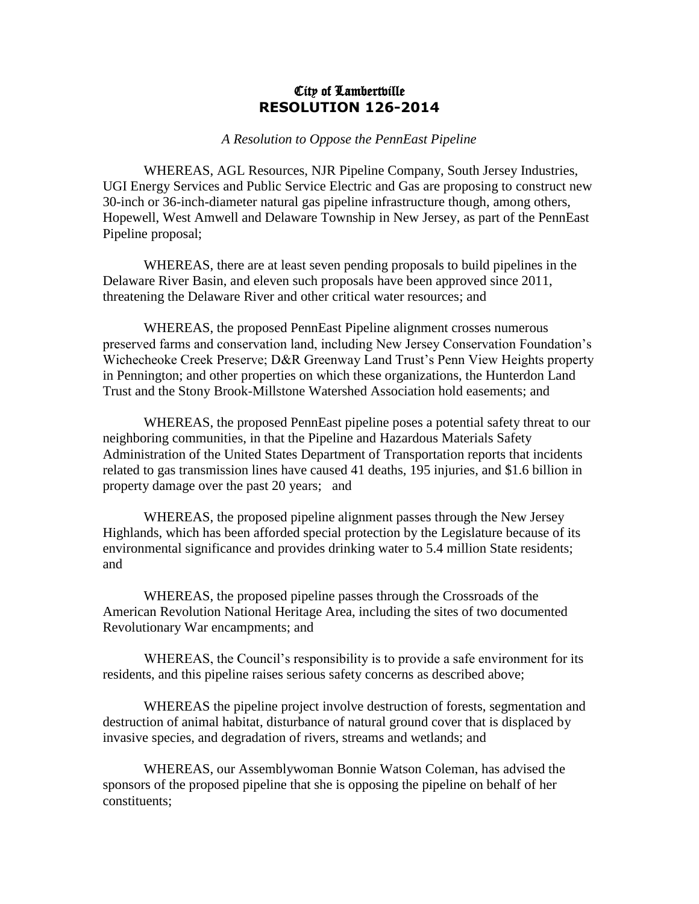## City of Lambertville **RESOLUTION 126-2014**

*A Resolution to Oppose the PennEast Pipeline*

WHEREAS, AGL Resources, NJR Pipeline Company, South Jersey Industries, UGI Energy Services and Public Service Electric and Gas are proposing to construct new 30-inch or 36-inch-diameter natural gas pipeline infrastructure though, among others, Hopewell, West Amwell and Delaware Township in New Jersey, as part of the PennEast Pipeline proposal;

WHEREAS, there are at least seven pending proposals to build pipelines in the Delaware River Basin, and eleven such proposals have been approved since 2011, threatening the Delaware River and other critical water resources; and

WHEREAS, the proposed PennEast Pipeline alignment crosses numerous preserved farms and conservation land, including New Jersey Conservation Foundation's Wichecheoke Creek Preserve; D&R Greenway Land Trust's Penn View Heights property in Pennington; and other properties on which these organizations, the Hunterdon Land Trust and the Stony Brook-Millstone Watershed Association hold easements; and

WHEREAS, the proposed PennEast pipeline poses a potential safety threat to our neighboring communities, in that the Pipeline and Hazardous Materials Safety Administration of the United States Department of Transportation reports that incidents related to gas transmission lines have caused 41 deaths, 195 injuries, and \$1.6 billion in property damage over the past 20 years; and

WHEREAS, the proposed pipeline alignment passes through the New Jersey Highlands, which has been afforded special protection by the Legislature because of its environmental significance and provides drinking water to 5.4 million State residents; and

WHEREAS, the proposed pipeline passes through the Crossroads of the American Revolution National Heritage Area, including the sites of two documented Revolutionary War encampments; and

WHEREAS, the Council's responsibility is to provide a safe environment for its residents, and this pipeline raises serious safety concerns as described above;

WHEREAS the pipeline project involve destruction of forests, segmentation and destruction of animal habitat, disturbance of natural ground cover that is displaced by invasive species, and degradation of rivers, streams and wetlands; and

WHEREAS, our Assemblywoman Bonnie Watson Coleman, has advised the sponsors of the proposed pipeline that she is opposing the pipeline on behalf of her constituents;